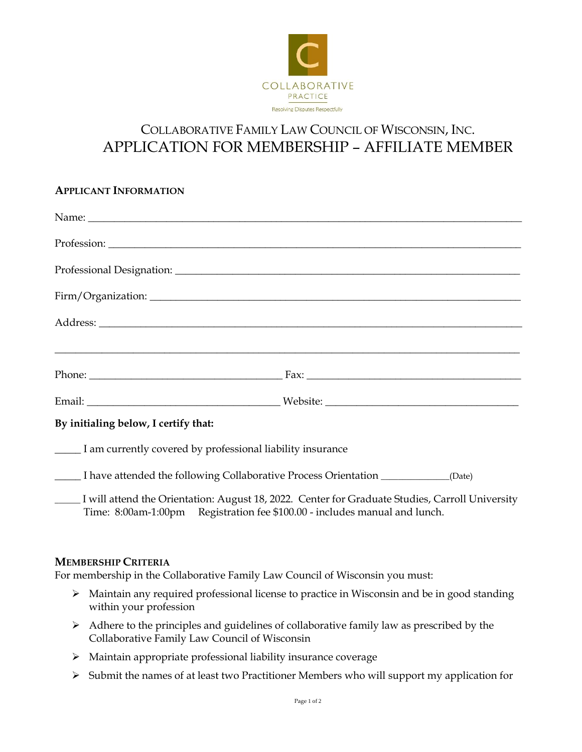

# COLLABORATIVE FAMILY LAW COUNCIL OF WISCONSIN, INC. APPLICATION FOR MEMBERSHIP – AFFILIATE MEMBER

# **APPLICANT INFORMATION** Name:  $\Box$ Profession: Professional Designation: \_\_\_\_\_\_\_\_\_\_\_\_\_\_\_\_\_\_\_\_\_\_\_\_\_\_\_\_\_\_\_\_\_\_\_\_\_\_\_\_\_\_\_\_\_\_\_\_\_\_\_\_\_\_\_\_\_\_\_\_\_\_\_\_\_\_ Firm/Organization: \_\_\_\_\_\_\_\_\_\_\_\_\_\_\_\_\_\_\_\_\_\_\_\_\_\_\_\_\_\_\_\_\_\_\_\_\_\_\_\_\_\_\_\_\_\_\_\_\_\_\_\_\_\_\_\_\_\_\_\_\_\_\_\_\_\_\_\_\_\_\_ Address: \_\_\_\_\_\_\_\_\_\_\_\_\_\_\_\_\_\_\_\_\_\_\_\_\_\_\_\_\_\_\_\_\_\_\_\_\_\_\_\_\_\_\_\_\_\_\_\_\_\_\_\_\_\_\_\_\_\_\_\_\_\_\_\_\_\_\_\_\_\_\_\_\_\_\_\_\_\_\_\_\_ \_\_\_\_\_\_\_\_\_\_\_\_\_\_\_\_\_\_\_\_\_\_\_\_\_\_\_\_\_\_\_\_\_\_\_\_\_\_\_\_\_\_\_\_\_\_\_\_\_\_\_\_\_\_\_\_\_\_\_\_\_\_\_\_\_\_\_\_\_\_\_\_\_\_\_\_\_\_\_\_\_\_\_\_\_\_\_\_\_ Phone: \_\_\_\_\_\_\_\_\_\_\_\_\_\_\_\_\_\_\_\_\_\_\_\_\_\_\_\_\_\_\_\_\_\_\_\_\_ Fax: \_\_\_\_\_\_\_\_\_\_\_\_\_\_\_\_\_\_\_\_\_\_\_\_\_\_\_\_\_\_\_\_\_\_\_\_\_\_\_\_\_ Email: \_\_\_\_\_\_\_\_\_\_\_\_\_\_\_\_\_\_\_\_\_\_\_\_\_\_\_\_\_\_\_\_\_\_\_\_\_ Website: \_\_\_\_\_\_\_\_\_\_\_\_\_\_\_\_\_\_\_\_\_\_\_\_\_\_\_\_\_\_\_\_\_\_\_\_\_ **By initialing below, I certify that:** \_\_\_\_\_ I am currently covered by professional liability insurance \_\_\_\_\_ I have attended the following Collaborative Process Orientation \_\_\_\_\_\_\_\_\_\_\_\_\_\_\_\_(Date) \_\_\_\_\_\_ I will attend the Orientation: August 18, 2022. Center for Graduate Studies, Carroll University Time: 8:00am-1:00pm Registration fee \$100.00 - includes manual and lunch.

## **MEMBERSHIP CRITERIA**

For membership in the Collaborative Family Law Council of Wisconsin you must:

- $\triangleright$  Maintain any required professional license to practice in Wisconsin and be in good standing within your profession
- $\triangleright$  Adhere to the principles and guidelines of collaborative family law as prescribed by the Collaborative Family Law Council of Wisconsin
- Maintain appropriate professional liability insurance coverage
- $\triangleright$  Submit the names of at least two Practitioner Members who will support my application for